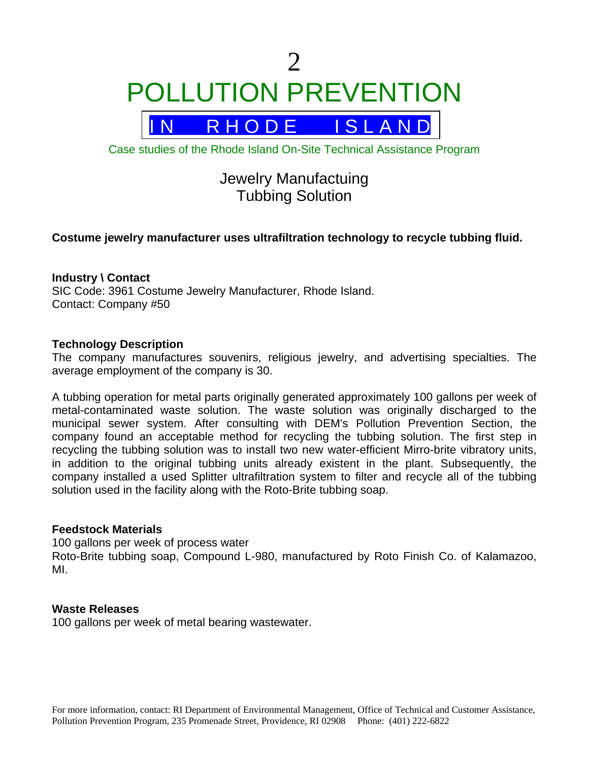$\mathcal{D}_{\mathcal{L}}$ POLLUTION PREVENTION



Case studies of the Rhode Island On-Site Technical Assistance Program

# Jewelry Manufactuing Tubbing Solution

# **Costume jewelry manufacturer uses ultrafiltration technology to recycle tubbing fluid.**

#### **Industry \ Contact**

SIC Code: 3961 Costume Jewelry Manufacturer, Rhode Island. Contact: Company #50

#### **Technology Description**

The company manufactures souvenirs, religious jewelry, and advertising specialties. The average employment of the company is 30.

A tubbing operation for metal parts originally generated approximately 100 gallons per week of metal-contaminated waste solution. The waste solution was originally discharged to the municipal sewer system. After consulting with DEM's Pollution Prevention Section, the company found an acceptable method for recycling the tubbing solution. The first step in recycling the tubbing solution was to install two new water-efficient Mirro-brite vibratory units, in addition to the original tubbing units already existent in the plant. Subsequently, the company installed a used Splitter ultrafiltration system to filter and recycle all of the tubbing solution used in the facility along with the Roto-Brite tubbing soap.

#### **Feedstock Materials**

100 gallons per week of process water Roto-Brite tubbing soap, Compound L-980, manufactured by Roto Finish Co. of Kalamazoo, MI.

#### **Waste Releases**

100 gallons per week of metal bearing wastewater.